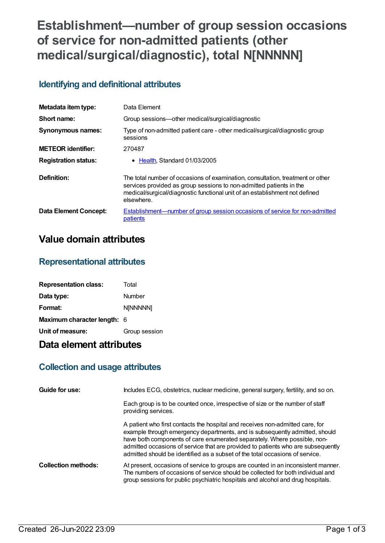# **Establishment—number of group session occasions of service for non-admitted patients (other medical/surgical/diagnostic), total N[NNNNN]**

## **Identifying and definitional attributes**

| Metadata item type:         | Data Element                                                                                                                                                                                                                                       |
|-----------------------------|----------------------------------------------------------------------------------------------------------------------------------------------------------------------------------------------------------------------------------------------------|
| Short name:                 | Group sessions—other medical/surgical/diagnostic                                                                                                                                                                                                   |
| <b>Synonymous names:</b>    | Type of non-admitted patient care - other medical/surgical/diagnostic group<br>sessions                                                                                                                                                            |
| <b>METEOR identifier:</b>   | 270487                                                                                                                                                                                                                                             |
| <b>Registration status:</b> | $\bullet$ Health. Standard 01/03/2005                                                                                                                                                                                                              |
| Definition:                 | The total number of occasions of examination, consultation, treatment or other<br>services provided as group sessions to non-admitted patients in the<br>medical/surgical/diagnostic functional unit of an establishment not defined<br>elsewhere. |
| Data Element Concept:       | Establishment—number of group session occasions of service for non-admitted<br>patients                                                                                                                                                            |

### **Value domain attributes**

#### **Representational attributes**

| <b>Representation class:</b> | Total         |
|------------------------------|---------------|
| Data type:                   | Number        |
| Format:                      | N[NNNNN]      |
| Maximum character length: 6  |               |
| Unit of measure:             | Group session |

### **Data element attributes**

#### **Collection and usage attributes**

| Guide for use:             | Includes ECG, obstetrics, nuclear medicine, general surgery, fertility, and so on.                                                                                                                                                                                                                                                                                                                           |
|----------------------------|--------------------------------------------------------------------------------------------------------------------------------------------------------------------------------------------------------------------------------------------------------------------------------------------------------------------------------------------------------------------------------------------------------------|
|                            | Each group is to be counted once, irrespective of size or the number of staff<br>providing services.                                                                                                                                                                                                                                                                                                         |
|                            | A patient who first contacts the hospital and receives non-admitted care, for<br>example through emergency departments, and is subsequently admitted, should<br>have both components of care enumerated separately. Where possible, non-<br>admitted occasions of service that are provided to patients who are subsequently<br>admitted should be identified as a subset of the total occasions of service. |
| <b>Collection methods:</b> | At present, occasions of service to groups are counted in an inconsistent manner.<br>The numbers of occasions of service should be collected for both individual and<br>group sessions for public psychiatric hospitals and alcohol and drug hospitals.                                                                                                                                                      |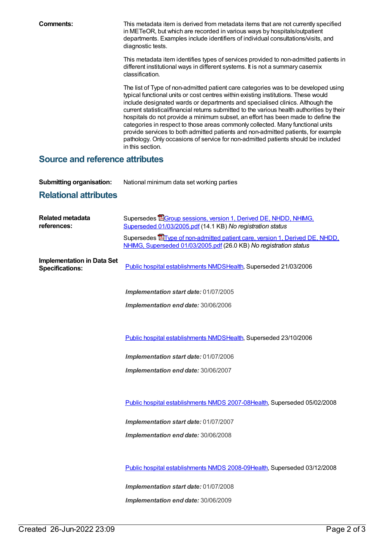**Comments:** This metadata item is derived from metadata items that are not currently specified in METeOR, but which are recorded in various ways by hospitals/outpatient departments. Examples include identifiers of individual consultations/visits, and diagnostic tests.

> This metadata item identifies types of services provided to non-admitted patients in different institutional ways in different systems. It is not a summary casemix classification.

> The list of Type of non-admitted patient care categories was to be developed using typical functional units or cost centres within existing institutions. These would include designated wards or departments and specialised clinics. Although the current statistical/financial returns submitted to the various health authorities by their hospitals do not provide a minimum subset, an effort has been made to define the categories in respect to those areas commonly collected. Many functional units provide services to both admitted patients and non-admitted patients, for example pathology. Only occasions of service for non-admitted patients should be included in this section.

#### **Source and reference attributes**

**Submitting organisation:** National minimum data set working parties

#### **Relational attributes**

| <b>Related metadata</b><br>references:                      | Supersedes <b>E</b> Group sessions, version 1, Derived DE, NHDD, NHIMG,<br>Superseded 01/03/2005.pdf (14.1 KB) No registration status                    |
|-------------------------------------------------------------|----------------------------------------------------------------------------------------------------------------------------------------------------------|
|                                                             | Supersedes <b>E</b> Type of non-admitted patient care, version 1, Derived DE, NHDD,<br>NHIMG, Superseded 01/03/2005.pdf (26.0 KB) No registration status |
| <b>Implementation in Data Set</b><br><b>Specifications:</b> | Public hospital establishments NMDSHealth, Superseded 21/03/2006                                                                                         |
|                                                             | Implementation start date: 01/07/2005                                                                                                                    |
|                                                             | Implementation end date: 30/06/2006                                                                                                                      |
|                                                             | Public hospital establishments NMDSHealth, Superseded 23/10/2006                                                                                         |
|                                                             | Implementation start date: 01/07/2006                                                                                                                    |
|                                                             | Implementation end date: 30/06/2007                                                                                                                      |
|                                                             |                                                                                                                                                          |
|                                                             | Public hospital establishments NMDS 2007-08Health, Superseded 05/02/2008                                                                                 |
|                                                             | Implementation start date: 01/07/2007                                                                                                                    |
|                                                             | Implementation end date: 30/06/2008                                                                                                                      |
|                                                             |                                                                                                                                                          |
|                                                             | Public hospital establishments NMDS 2008-09Health, Superseded 03/12/2008                                                                                 |
|                                                             | Implementation start date: 01/07/2008                                                                                                                    |
|                                                             | Implementation end date: 30/06/2009                                                                                                                      |